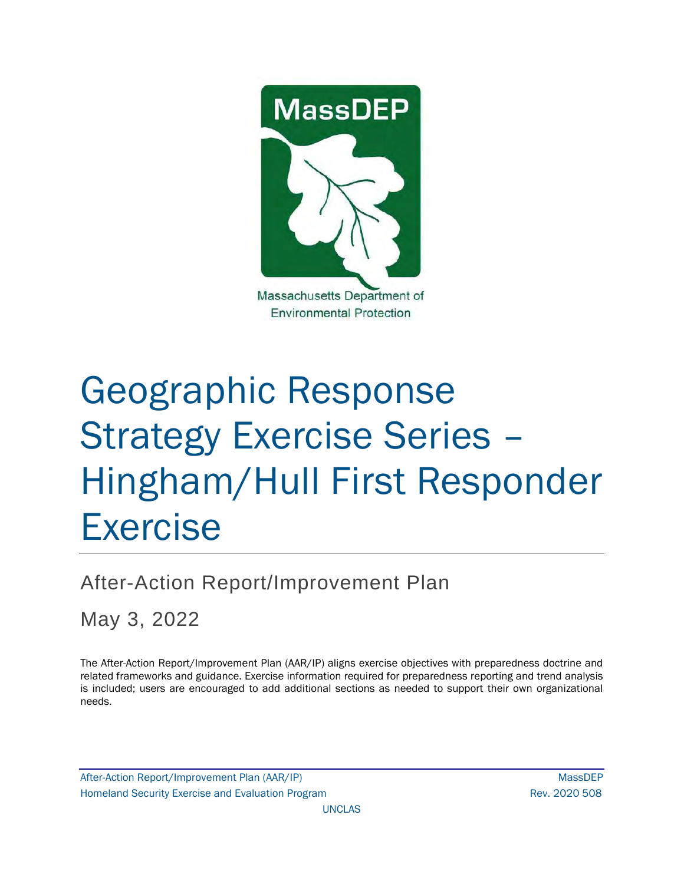

# Geographic Response Strategy Exercise Series – Hingham/Hull First Responder Exercise

After-Action Report/Improvement Plan

May 3, 2022

The After-Action Report/Improvement Plan (AAR/IP) aligns exercise objectives with preparedness doctrine and related frameworks and guidance. Exercise information required for preparedness reporting and trend analysis is included; users are encouraged to add additional sections as needed to support their own organizational needs.

After-Action Report/Improvement Plan (AAR/IP) NassDEP Homeland Security Exercise and Evaluation Program News 2020 508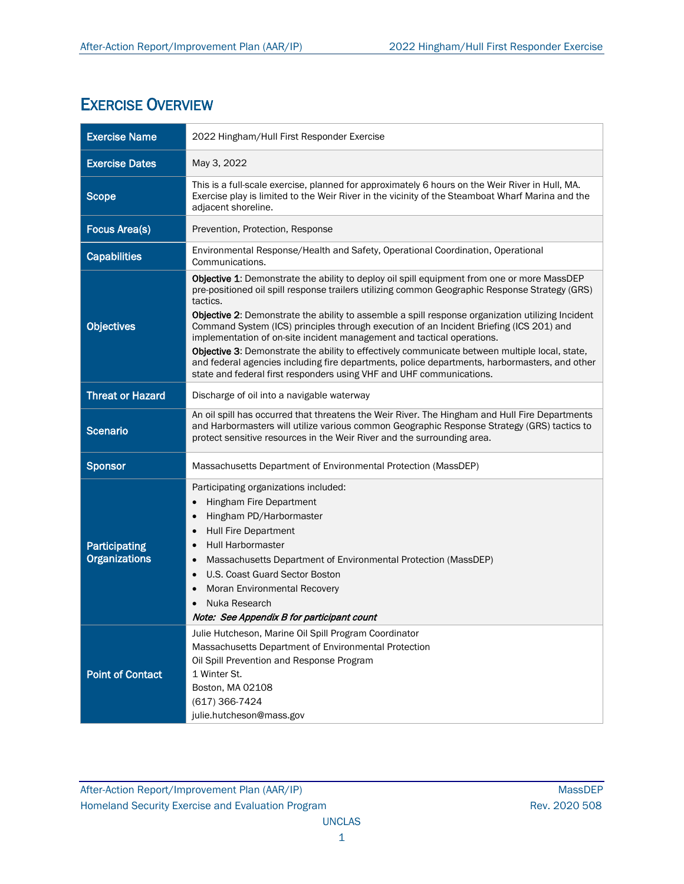# EXERCISE OVERVIEW

| <b>Exercise Name</b>                         | 2022 Hingham/Hull First Responder Exercise                                                                                                                                                                                                                                                                                                                                                                                                                                                                                                                                                                                                                                                                                                                     |  |  |  |  |
|----------------------------------------------|----------------------------------------------------------------------------------------------------------------------------------------------------------------------------------------------------------------------------------------------------------------------------------------------------------------------------------------------------------------------------------------------------------------------------------------------------------------------------------------------------------------------------------------------------------------------------------------------------------------------------------------------------------------------------------------------------------------------------------------------------------------|--|--|--|--|
| <b>Exercise Dates</b>                        | May 3, 2022                                                                                                                                                                                                                                                                                                                                                                                                                                                                                                                                                                                                                                                                                                                                                    |  |  |  |  |
| <b>Scope</b>                                 | This is a full-scale exercise, planned for approximately 6 hours on the Weir River in Hull, MA.<br>Exercise play is limited to the Weir River in the vicinity of the Steamboat Wharf Marina and the<br>adjacent shoreline.                                                                                                                                                                                                                                                                                                                                                                                                                                                                                                                                     |  |  |  |  |
| <b>Focus Area(s)</b>                         | Prevention, Protection, Response                                                                                                                                                                                                                                                                                                                                                                                                                                                                                                                                                                                                                                                                                                                               |  |  |  |  |
| <b>Capabilities</b>                          | Environmental Response/Health and Safety, Operational Coordination, Operational<br>Communications.                                                                                                                                                                                                                                                                                                                                                                                                                                                                                                                                                                                                                                                             |  |  |  |  |
| <b>Objectives</b>                            | Objective 1: Demonstrate the ability to deploy oil spill equipment from one or more MassDEP<br>pre-positioned oil spill response trailers utilizing common Geographic Response Strategy (GRS)<br>tactics.<br>Objective 2: Demonstrate the ability to assemble a spill response organization utilizing Incident<br>Command System (ICS) principles through execution of an Incident Briefing (ICS 201) and<br>implementation of on-site incident management and tactical operations.<br>Objective 3: Demonstrate the ability to effectively communicate between multiple local, state,<br>and federal agencies including fire departments, police departments, harbormasters, and other<br>state and federal first responders using VHF and UHF communications. |  |  |  |  |
| <b>Threat or Hazard</b>                      | Discharge of oil into a navigable waterway                                                                                                                                                                                                                                                                                                                                                                                                                                                                                                                                                                                                                                                                                                                     |  |  |  |  |
| <b>Scenario</b>                              | An oil spill has occurred that threatens the Weir River. The Hingham and Hull Fire Departments<br>and Harbormasters will utilize various common Geographic Response Strategy (GRS) tactics to<br>protect sensitive resources in the Weir River and the surrounding area.                                                                                                                                                                                                                                                                                                                                                                                                                                                                                       |  |  |  |  |
| <b>Sponsor</b>                               | Massachusetts Department of Environmental Protection (MassDEP)                                                                                                                                                                                                                                                                                                                                                                                                                                                                                                                                                                                                                                                                                                 |  |  |  |  |
| <b>Participating</b><br><b>Organizations</b> | Participating organizations included:<br>Hingham Fire Department<br>$\bullet$<br>Hingham PD/Harbormaster<br>$\bullet$<br><b>Hull Fire Department</b><br>$\bullet$<br><b>Hull Harbormaster</b><br>Massachusetts Department of Environmental Protection (MassDEP)<br>U.S. Coast Guard Sector Boston<br>Moran Environmental Recovery<br>$\bullet$<br>Nuka Research<br>Note: See Appendix B for participant count                                                                                                                                                                                                                                                                                                                                                  |  |  |  |  |
| <b>Point of Contact</b>                      | Julie Hutcheson, Marine Oil Spill Program Coordinator<br>Massachusetts Department of Environmental Protection<br>Oil Spill Prevention and Response Program<br>1 Winter St.<br>Boston, MA 02108<br>(617) 366-7424<br>julie.hutcheson@mass.gov                                                                                                                                                                                                                                                                                                                                                                                                                                                                                                                   |  |  |  |  |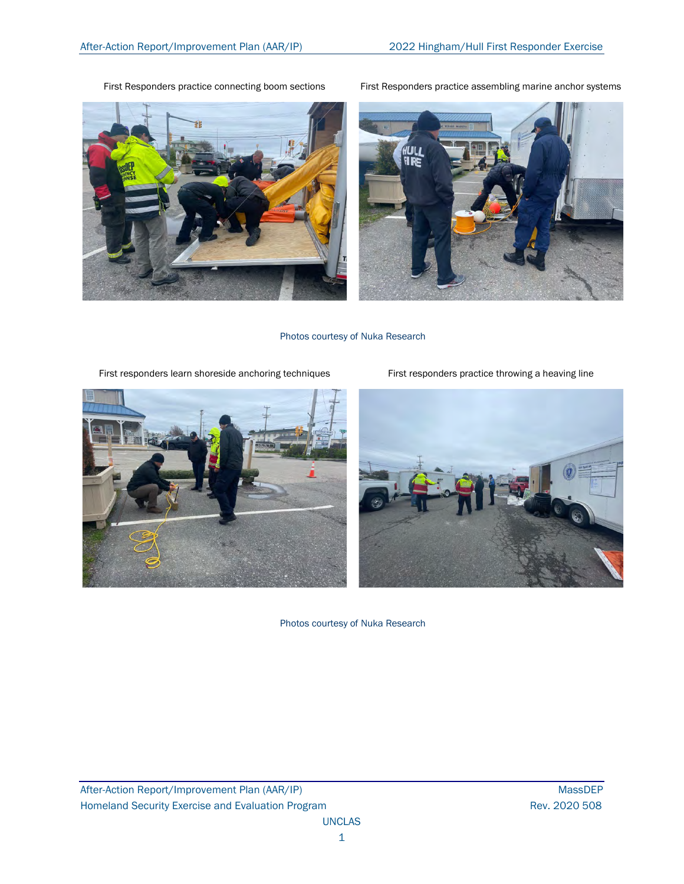First Responders practice connecting boom sections First Responders practice assembling marine anchor systems





Photos courtesy of Nuka Research

First responders learn shoreside anchoring techniques First responders practice throwing a heaving line



Photos courtesy of Nuka Research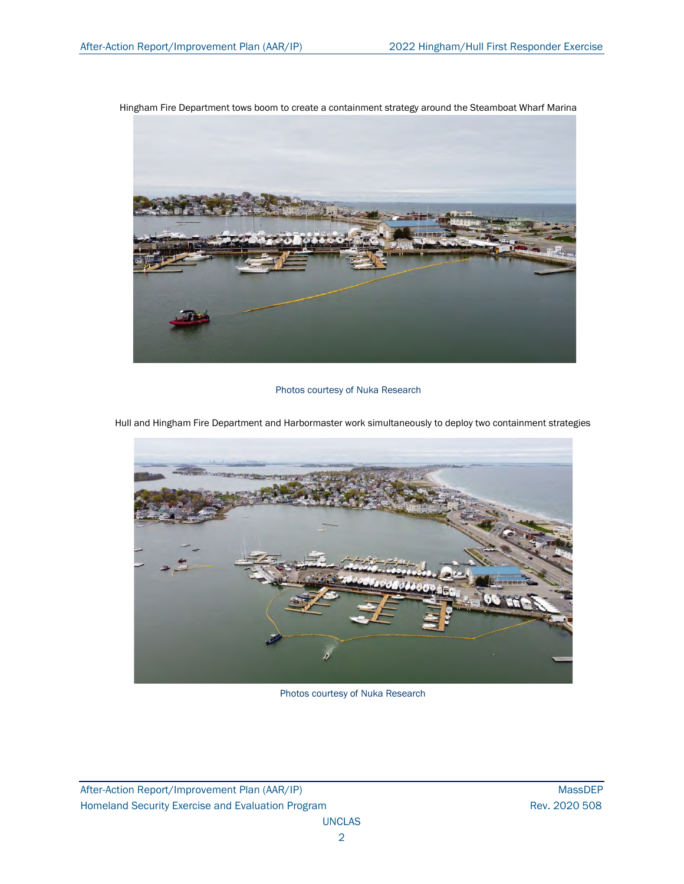Hingham Fire Department tows boom to create a containment strategy around the Steamboat Wharf Marina



## Photos courtesy of Nuka Research

Hull and Hingham Fire Department and Harbormaster work simultaneously to deploy two containment strategies



Photos courtesy of Nuka Research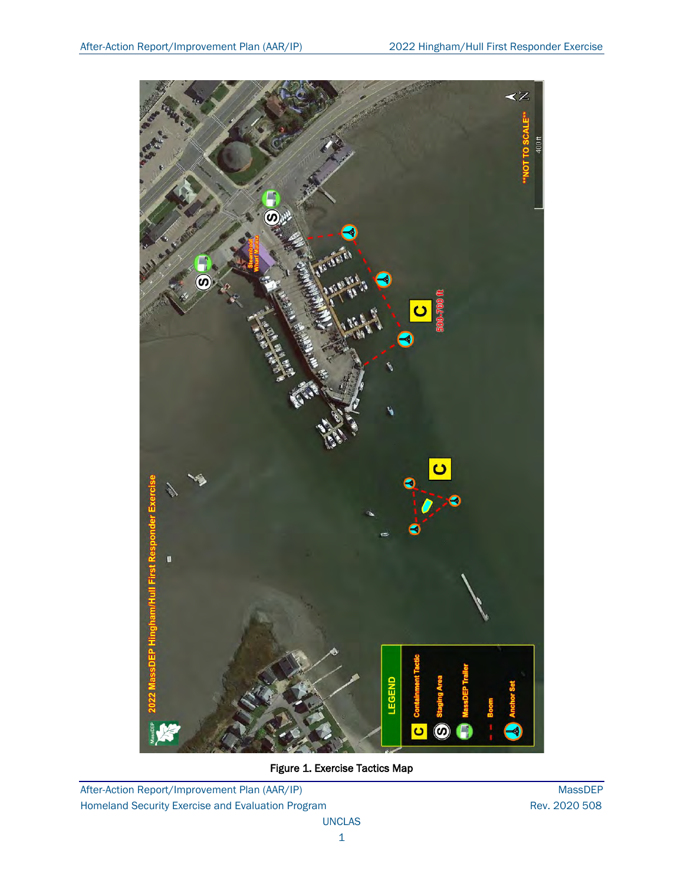

Figure 1. Exercise Tactics Map

After-Action Report/Improvement Plan (AAR/IP) MassDEP Homeland Security Exercise and Evaluation Program **Rev. 2020 508** Rev. 2020 508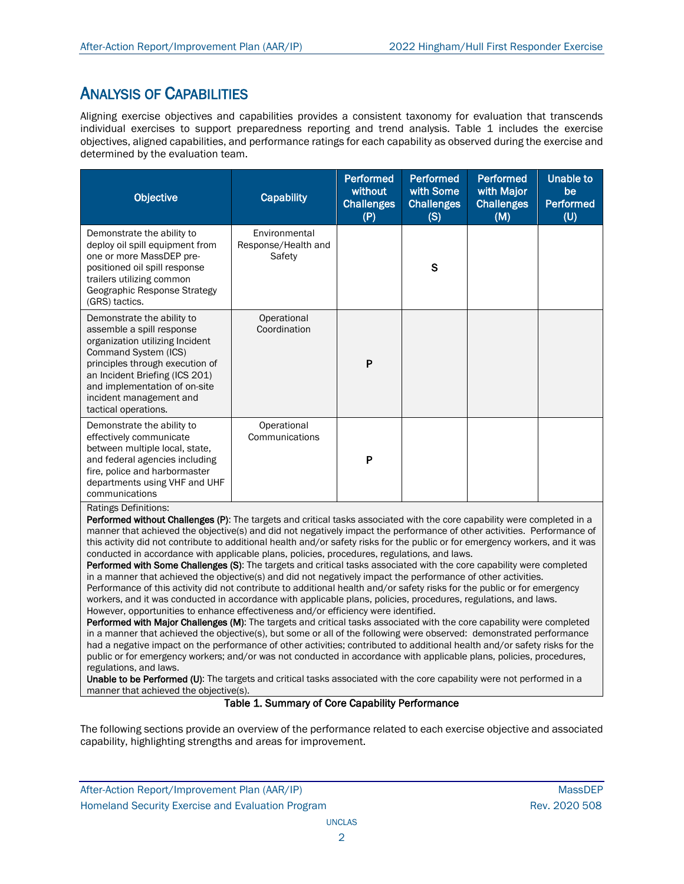## ANALYSIS OF CAPABILITIES

Aligning exercise objectives and capabilities provides a consistent taxonomy for evaluation that transcends individual exercises to support preparedness reporting and trend analysis. Table 1 includes the exercise objectives, aligned capabilities, and performance ratings for each capability as observed during the exercise and determined by the evaluation team.

| Objective                                                                                                                                                                                                                                                                   | <b>Capability</b>                              | <b>Performed</b><br>without<br><b>Challenges</b><br>(P) | <b>Performed</b><br>with Some<br><b>Challenges</b><br>(S) | <b>Performed</b><br>with Major<br><b>Challenges</b><br>(M) | <b>Unable to</b><br>be<br><b>Performed</b><br>(U) |
|-----------------------------------------------------------------------------------------------------------------------------------------------------------------------------------------------------------------------------------------------------------------------------|------------------------------------------------|---------------------------------------------------------|-----------------------------------------------------------|------------------------------------------------------------|---------------------------------------------------|
| Demonstrate the ability to<br>deploy oil spill equipment from<br>one or more MassDEP pre-<br>positioned oil spill response<br>trailers utilizing common<br>Geographic Response Strategy<br>(GRS) tactics.                                                                   | Environmental<br>Response/Health and<br>Safety |                                                         | $\mathbf S$                                               |                                                            |                                                   |
| Demonstrate the ability to<br>assemble a spill response<br>organization utilizing Incident<br>Command System (ICS)<br>principles through execution of<br>an Incident Briefing (ICS 201)<br>and implementation of on-site<br>incident management and<br>tactical operations. | Operational<br>Coordination                    | P                                                       |                                                           |                                                            |                                                   |
| Demonstrate the ability to<br>effectively communicate<br>between multiple local, state,<br>and federal agencies including<br>fire, police and harbormaster<br>departments using VHF and UHF<br>communications<br><b>Ratings Definitions:</b>                                | Operational<br>Communications                  | P                                                       |                                                           |                                                            |                                                   |

Performed without Challenges (P): The targets and critical tasks associated with the core capability were completed in a manner that achieved the objective(s) and did not negatively impact the performance of other activities. Performance of this activity did not contribute to additional health and/or safety risks for the public or for emergency workers, and it was conducted in accordance with applicable plans, policies, procedures, regulations, and laws.

Performed with Some Challenges (S): The targets and critical tasks associated with the core capability were completed in a manner that achieved the objective(s) and did not negatively impact the performance of other activities. Performance of this activity did not contribute to additional health and/or safety risks for the public or for emergency workers, and it was conducted in accordance with applicable plans, policies, procedures, regulations, and laws. However, opportunities to enhance effectiveness and/or efficiency were identified.

Performed with Major Challenges (M): The targets and critical tasks associated with the core capability were completed in a manner that achieved the objective(s), but some or all of the following were observed: demonstrated performance had a negative impact on the performance of other activities; contributed to additional health and/or safety risks for the public or for emergency workers; and/or was not conducted in accordance with applicable plans, policies, procedures, regulations, and laws.

Unable to be Performed (U): The targets and critical tasks associated with the core capability were not performed in a manner that achieved the objective(s).

## Table 1. Summary of Core Capability Performance

The following sections provide an overview of the performance related to each exercise objective and associated capability, highlighting strengths and areas for improvement.

After-Action Report/Improvement Plan (AAR/IP) NassDEP After-Action Report/Improvement Plan (AAR/IP) Homeland Security Exercise and Evaluation Program **Rev. 2020 508** Rev. 2020 508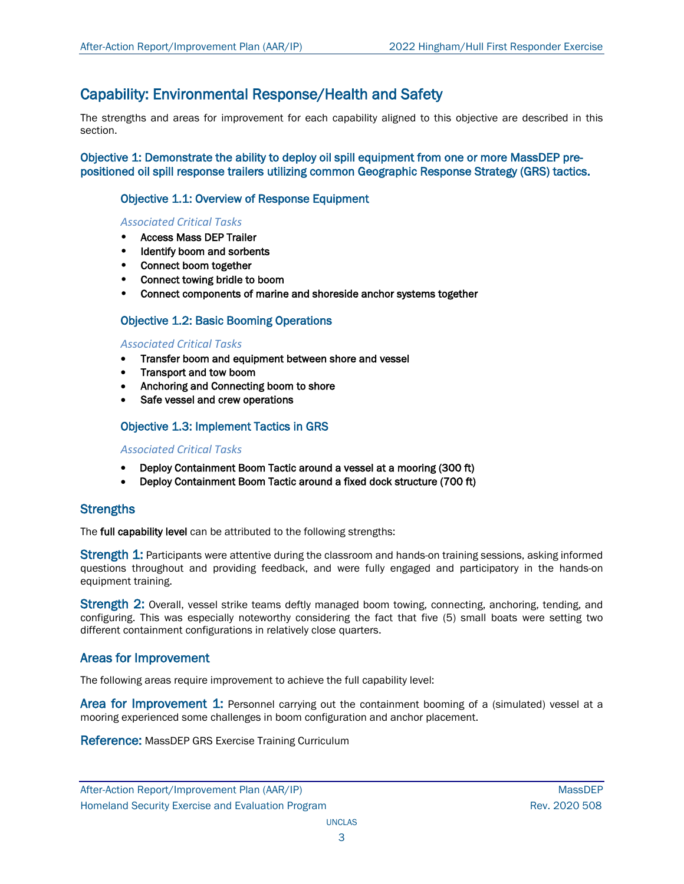## Capability: Environmental Response/Health and Safety

The strengths and areas for improvement for each capability aligned to this objective are described in this section.

Objective 1: Demonstrate the ability to deploy oil spill equipment from one or more MassDEP prepositioned oil spill response trailers utilizing common Geographic Response Strategy (GRS) tactics.

## Objective 1.1: Overview of Response Equipment

## *Associated Critical Tasks*

- Access Mass DEP Trailer
- Identify boom and sorbents
- Connect boom together
- Connect towing bridle to boom
- Connect components of marine and shoreside anchor systems together

## Objective 1.2: Basic Booming Operations

#### *Associated Critical Tasks*

- Transfer boom and equipment between shore and vessel
- Transport and tow boom
- Anchoring and Connecting boom to shore
- Safe vessel and crew operations

## Objective 1.3: Implement Tactics in GRS

#### *Associated Critical Tasks*

- Deploy Containment Boom Tactic around a vessel at a mooring (300 ft)
- Deploy Containment Boom Tactic around a fixed dock structure (700 ft)

## **Strengths**

The full capability level can be attributed to the following strengths:

Strength 1: Participants were attentive during the classroom and hands-on training sessions, asking informed questions throughout and providing feedback, and were fully engaged and participatory in the hands-on equipment training.

Strength 2: Overall, vessel strike teams deftly managed boom towing, connecting, anchoring, tending, and configuring. This was especially noteworthy considering the fact that five (5) small boats were setting two different containment configurations in relatively close quarters.

## Areas for Improvement

The following areas require improvement to achieve the full capability level:

Area for Improvement 1: Personnel carrying out the containment booming of a (simulated) vessel at a mooring experienced some challenges in boom configuration and anchor placement.

Reference: MassDEP GRS Exercise Training Curriculum

After-Action Report/Improvement Plan (AAR/IP) NassDEP After-Action Report/Improvement Plan (AAR/IP) Homeland Security Exercise and Evaluation Program **Rev. 2020 508** Rev. 2020 508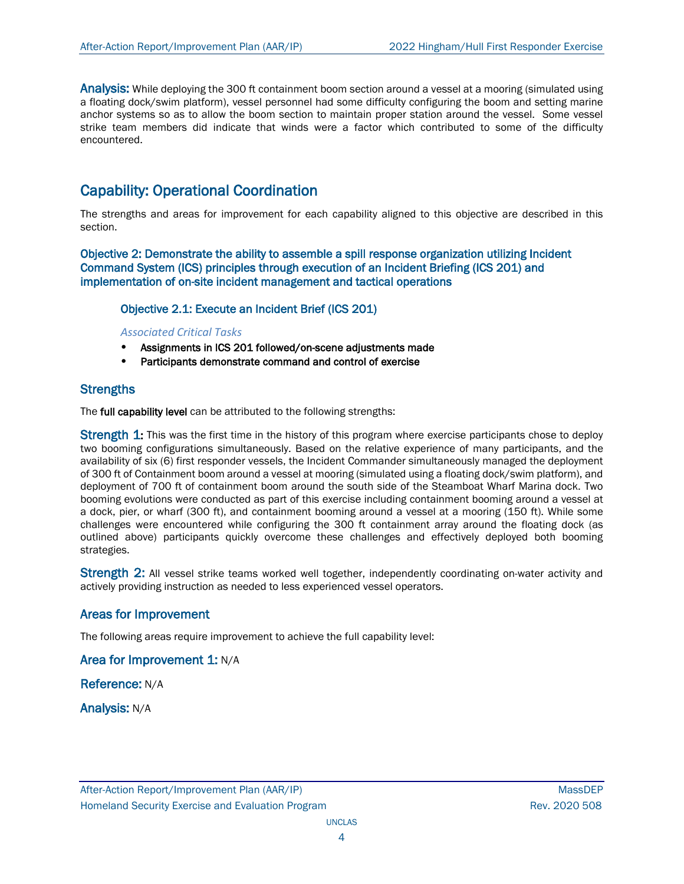Analysis: While deploying the 300 ft containment boom section around a vessel at a mooring (simulated using a floating dock/swim platform), vessel personnel had some difficulty configuring the boom and setting marine anchor systems so as to allow the boom section to maintain proper station around the vessel. Some vessel strike team members did indicate that winds were a factor which contributed to some of the difficulty encountered.

## Capability: Operational Coordination

The strengths and areas for improvement for each capability aligned to this objective are described in this section.

Objective 2: Demonstrate the ability to assemble a spill response organization utilizing Incident Command System (ICS) principles through execution of an Incident Briefing (ICS 201) and implementation of on-site incident management and tactical operations

## Objective 2.1: Execute an Incident Brief (ICS 201)

#### *Associated Critical Tasks*

- Assignments in ICS 201 followed/on-scene adjustments made
- Participants demonstrate command and control of exercise

## **Strengths**

The full capability level can be attributed to the following strengths:

Strength 1: This was the first time in the history of this program where exercise participants chose to deploy two booming configurations simultaneously. Based on the relative experience of many participants, and the availability of six (6) first responder vessels, the Incident Commander simultaneously managed the deployment of 300 ft of Containment boom around a vessel at mooring (simulated using a floating dock/swim platform), and deployment of 700 ft of containment boom around the south side of the Steamboat Wharf Marina dock. Two booming evolutions were conducted as part of this exercise including containment booming around a vessel at a dock, pier, or wharf (300 ft), and containment booming around a vessel at a mooring (150 ft). While some challenges were encountered while configuring the 300 ft containment array around the floating dock (as outlined above) participants quickly overcome these challenges and effectively deployed both booming strategies.

Strength 2: All vessel strike teams worked well together, independently coordinating on-water activity and actively providing instruction as needed to less experienced vessel operators.

## Areas for Improvement

The following areas require improvement to achieve the full capability level:

Area for Improvement 1: N/A

Reference: N/A

Analysis: N/A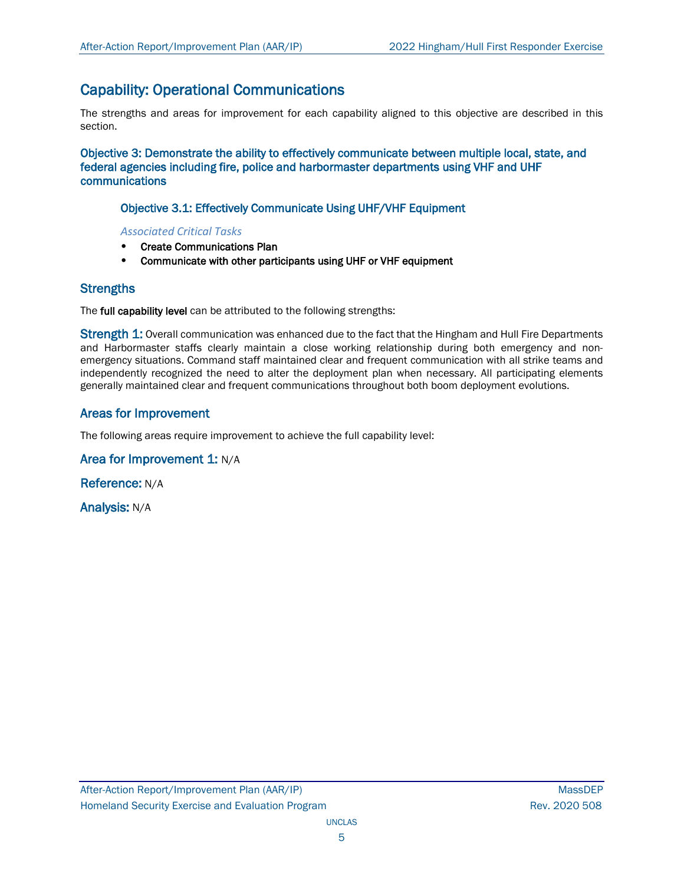## Capability: Operational Communications

The strengths and areas for improvement for each capability aligned to this objective are described in this section.

Objective 3: Demonstrate the ability to effectively communicate between multiple local, state, and federal agencies including fire, police and harbormaster departments using VHF and UHF communications

## Objective 3.1: Effectively Communicate Using UHF/VHF Equipment

*Associated Critical Tasks*

- Create Communications Plan
- Communicate with other participants using UHF or VHF equipment

## **Strengths**

The full capability level can be attributed to the following strengths:

Strength 1: Overall communication was enhanced due to the fact that the Hingham and Hull Fire Departments and Harbormaster staffs clearly maintain a close working relationship during both emergency and nonemergency situations. Command staff maintained clear and frequent communication with all strike teams and independently recognized the need to alter the deployment plan when necessary. All participating elements generally maintained clear and frequent communications throughout both boom deployment evolutions.

## Areas for Improvement

The following areas require improvement to achieve the full capability level:

## Area for Improvement 1: N/A

Reference: N/A

Analysis: N/A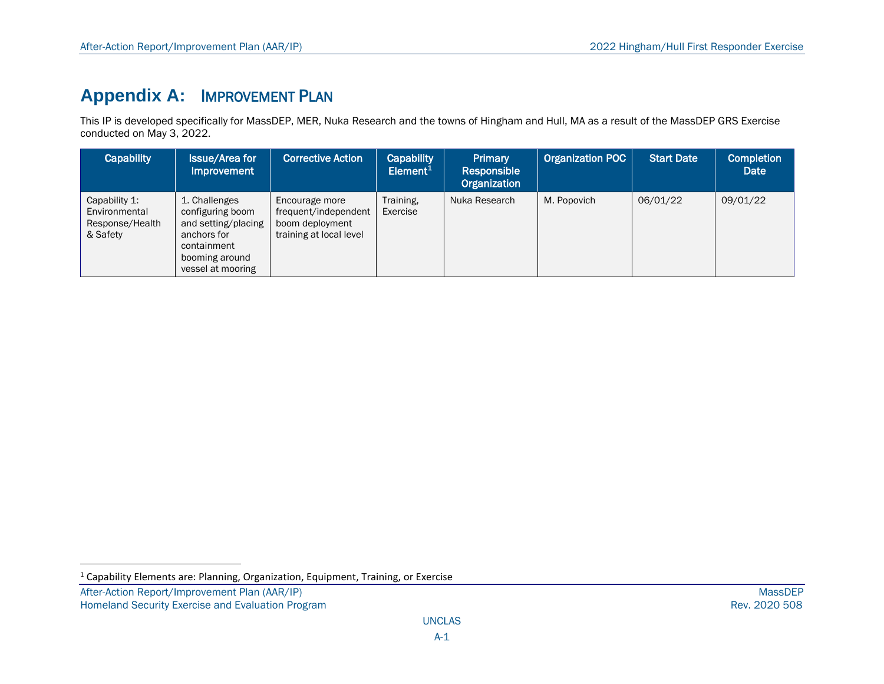# <span id="page-9-0"></span>**Appendix A:** IMPROVEMENT PLAN

This IP is developed specifically for MassDEP, MER, Nuka Research and the towns of Hingham and Hull, MA as a result of the MassDEP GRS Exercise conducted on May 3, 2022.

| <b>Capability</b>                                             | <b>Issue/Area for</b><br><b>Improvement</b>                                                                                   | <b>Corrective Action</b>                                                             | Capability<br>Element <sup>1</sup> | Primary<br>Responsible<br>Organization | Organization POC | <b>Start Date</b> | <b>Completion</b><br>Date |
|---------------------------------------------------------------|-------------------------------------------------------------------------------------------------------------------------------|--------------------------------------------------------------------------------------|------------------------------------|----------------------------------------|------------------|-------------------|---------------------------|
| Capability 1:<br>Environmental<br>Response/Health<br>& Safety | 1. Challenges<br>configuring boom<br>and setting/placing<br>anchors for<br>containment<br>booming around<br>vessel at mooring | Encourage more<br>frequent/independent<br>boom deployment<br>training at local level | Training,<br>Exercise              | Nuka Research                          | M. Popovich      | 06/01/22          | 09/01/22                  |

 $1$  Capability Elements are: Planning, Organization, Equipment, Training, or Exercise

After-Action Report/Improvement Plan (AAR/IP) MassDEP<br>Homeland Security Exercise and Evaluation Program and the state of the state of the state of the state of the Rev. 2020 508 Homeland Security Exercise and Evaluation Program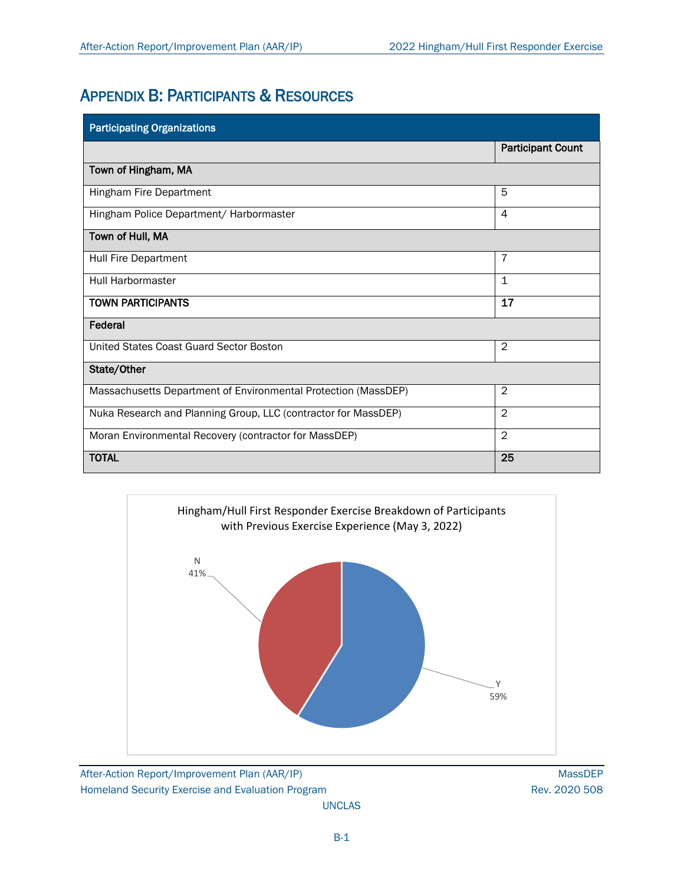# APPENDIX B: PARTICIPANTS & RESOURCES

| <b>Participating Organizations</b>                             |                          |  |  |  |  |
|----------------------------------------------------------------|--------------------------|--|--|--|--|
|                                                                | <b>Participant Count</b> |  |  |  |  |
| Town of Hingham, MA                                            |                          |  |  |  |  |
| Hingham Fire Department                                        | 5                        |  |  |  |  |
| Hingham Police Department/ Harbormaster                        | 4                        |  |  |  |  |
| Town of Hull, MA                                               |                          |  |  |  |  |
| Hull Fire Department                                           | $\overline{7}$           |  |  |  |  |
| Hull Harbormaster                                              | $\mathbf 1$              |  |  |  |  |
| <b>TOWN PARTICIPANTS</b>                                       | 17                       |  |  |  |  |
| Federal                                                        |                          |  |  |  |  |
| United States Coast Guard Sector Boston                        | $\mathbf{2}$             |  |  |  |  |
| State/Other                                                    |                          |  |  |  |  |
| Massachusetts Department of Environmental Protection (MassDEP) | $\mathbf{2}$             |  |  |  |  |
| Nuka Research and Planning Group, LLC (contractor for MassDEP) | $\overline{2}$           |  |  |  |  |
| Moran Environmental Recovery (contractor for MassDEP)          | $\mathcal{P}$            |  |  |  |  |
| <b>TOTAL</b>                                                   | 25                       |  |  |  |  |



After-Action Report/Improvement Plan (AAR/IP) MassDEP Homeland Security Exercise and Evaluation Program **Rev. 2020 508** Rev. 2020 508

UNCLAS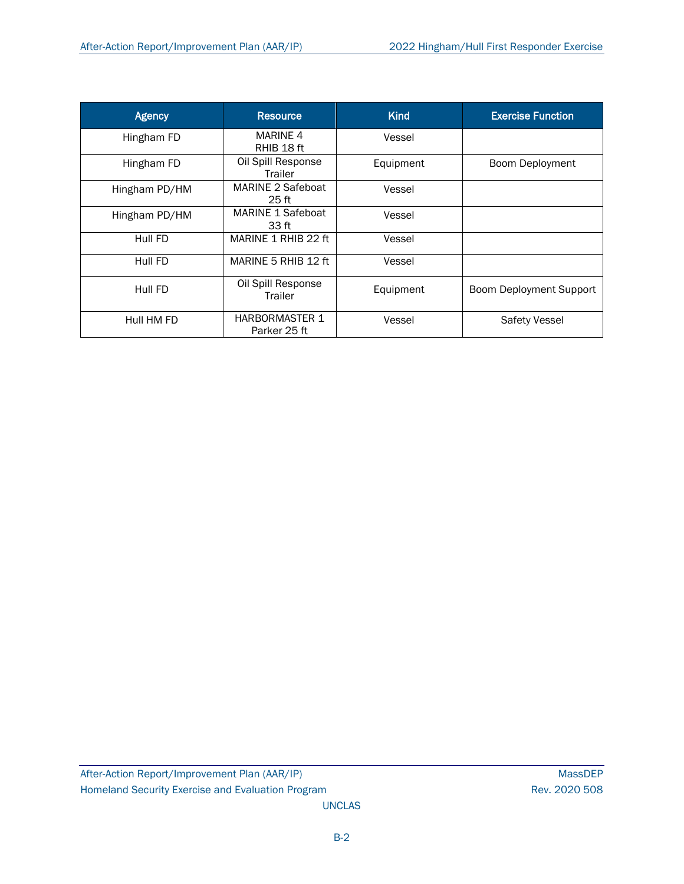| <b>Agency</b> | <b>Resource</b>                       | <b>Kind</b> | <b>Exercise Function</b>       |
|---------------|---------------------------------------|-------------|--------------------------------|
| Hingham FD    | <b>MARINE 4</b><br>RHIB 18 ft         | Vessel      |                                |
| Hingham FD    | Oil Spill Response<br>Trailer         | Equipment   | Boom Deployment                |
| Hingham PD/HM | MARINE 2 Safeboat<br>25 <sub>ft</sub> | Vessel      |                                |
| Hingham PD/HM | MARINE 1 Safeboat<br>33 ft            | Vessel      |                                |
| Hull FD       | MARINE 1 RHIB 22 ft                   | Vessel      |                                |
| Hull FD       | MARINE 5 RHIB 12 ft                   | Vessel      |                                |
| Hull FD       | Oil Spill Response<br>Trailer         | Equipment   | <b>Boom Deployment Support</b> |
| Hull HM FD    | <b>HARBORMASTER 1</b><br>Parker 25 ft | Vessel      | Safety Vessel                  |

UNCLAS